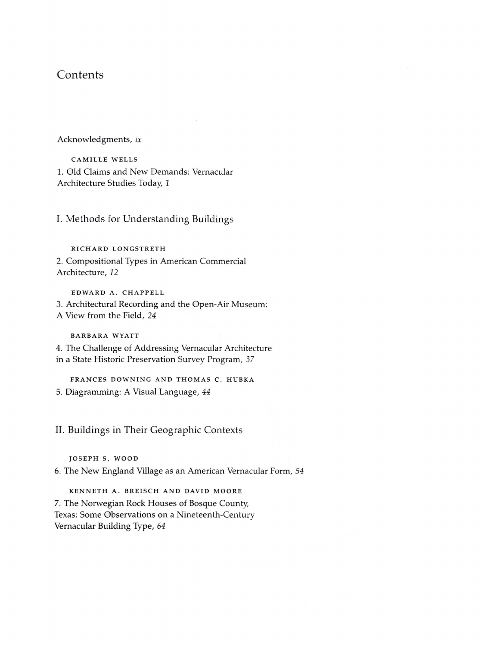# **Contents**

Acknowledgments, *ix*

CAMILLE WELLS 1. Old Claims and New Demands: Vernacular Architecture Studies Today, 1

I. Methods for Understanding Buildings

RICHARD LONGSTRETH 2. Compositional Types in American Commercial Architecture, 12

EDWARD A. CHAPPELL 3. Architectural Recording and the Open-Air Museum: A View from the Field, 24

BARBARA WYATT

4. The Challenge of Addressing Vernacular Architecture in a State Historic Preservation Survey Program, 37

FRANCES DOWNING AND THOMAS C. HUBKA 5. Diagramming: A Visual Language, 44

II. Buildings in Their Geographic Contexts

JOSEPH S. WOOD

6. The New England Village as an American Vernacular Form, 54

KENNETH A. BREISCH AND DAVID MOORE 7. The Norwegian Rock Houses of Bosque County, Texas: Some Observations on a Nineteenth-Century Vernacular Building Type, 64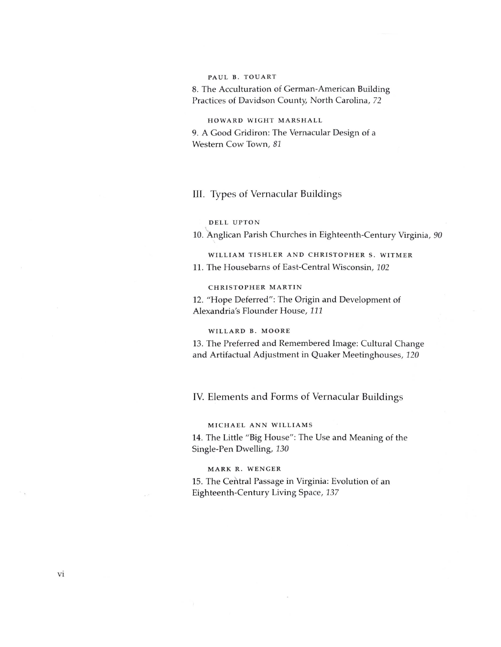### PAUL B. TOUART

8. The Acculturation of German-American Building Practices of Davidson County, North Carolina, 72

# HOWARD WIGHT MARSHALL

9. A Good Gridiron: The Vernacular Design of a Western Cow Town, 81

## III. Types of Vernacular Buildings

### DELL UPTON

10. Anglican Parish Churches in Eighteenth-Century Virginia, 90

WILLIAM TISHLER AND CHRISTOPHER S. WITMER 11. The Housebarns of East-Central Wisconsin, 102

#### CHRISTOPHER MARTIN

12. "Hope Deferred": The Origin and Development of Alexandria's Flounder House, 111

### WILLARD B. MOORE

13. The Preferred and Remembered Image: Cultural Change and Artifactual Adjustment in Quaker Meetinghouses, 120

# IV. Elements and Forms of Vernacular Buildings

#### MICHAEL ANN WILLIAMS

14. The Little "Big House": The Use and Meaning of the Single-Pen Dwelling, 130

### MARK R. WENGER

15. The Central Passage in Virginia: Evolution of an Eighteenth-Century Living Space, 137

 $\tilde{\mathcal{A}}$